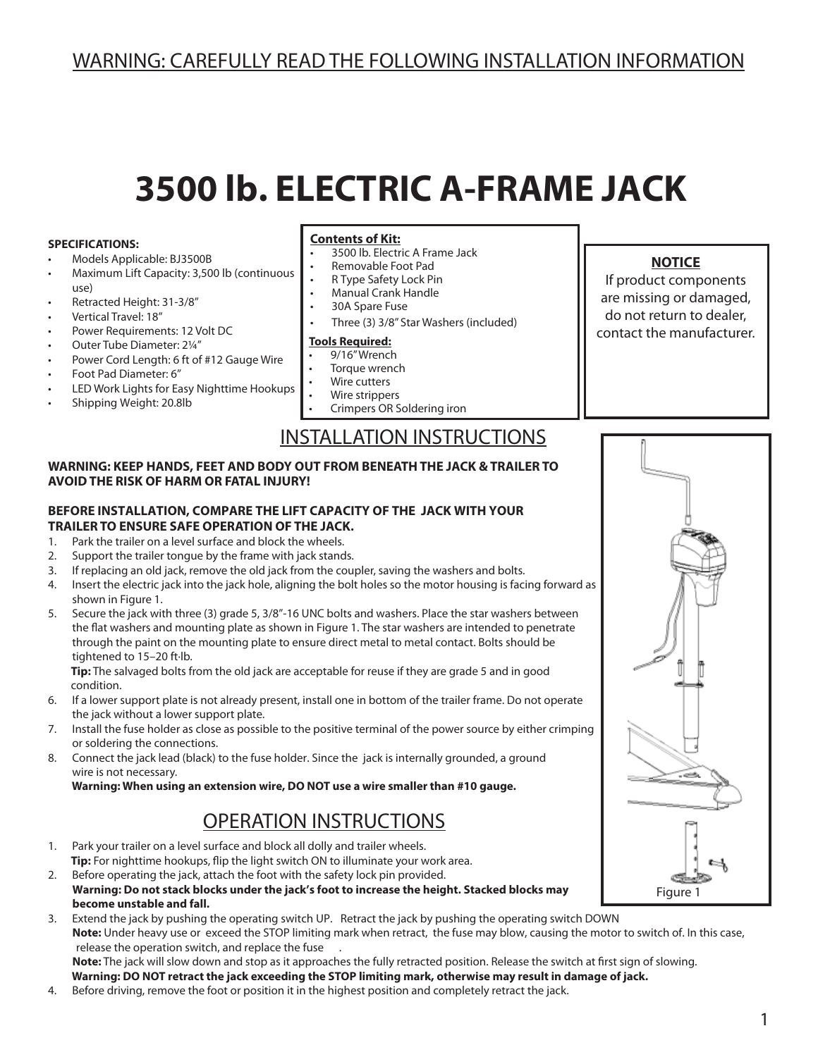# WARNING: CAREFULLY READ THE FOLLOWING INSTALLATION INFORMATION

# **3500 lb. ELECTRIC A-FRAME JACK**

#### **SPECIFICATIONS:**

- Models Applicable: BJ3500B
- Maximum Lift Capacity: 3,500 lb (continuous use)
- Retracted Height: 31-3/8"
- Vertical Travel: 18"
- Power Requirements: 12 Volt DC
- Outer Tube Diameter: 21/4"
- Power Cord Length: 6 ft of #12 Gauge Wire
- Foot Pad Diameter: 6"
- LED Work Lights for Easy Nighttime Hookups
- Shipping Weight: 20.8lb

#### **Contents of Kit:**

- 3500 lb. Electric A Frame Jack
- Removable Foot Pad
- R Type Safety Lock Pin
- **Manual Crank Handle**
- 30A Spare Fuse
- Three (3) 3/8" Star Washers (included)

#### **Tools Required:**

- 9/16" Wrench
- Torque wrench
- **Wire cutters**
- Wire strippers
- Crimpers OR Soldering iron

### INSTALLATION INSTRUCTIONS

#### **WARNING: KEEP HANDS, FEET AND BODY OUT FROM BENEATH THE JACK & TRAILER TO AVOID THE RISK OF HARM OR FATAL INJURY!**

#### **BEFORE INSTALLATION, COMPARE THE LIFT CAPACITY OF THE JACK WITH YOUR TRAILER TO ENSURE SAFE OPERATION OF THE JACK.**

- 1. Park the trailer on a level surface and block the wheels.
- 2. Support the trailer tongue by the frame with jack stands.
- 3. If replacing an old jack, remove the old jack from the coupler, saving the washers and bolts.
- 4. Insert the electric jack into the jack hole, aligning the bolt holes so the motor housing is facing forward as shown in Figure 1.
- 5. Secure the jack with three (3) grade 5, 3/8"-16 UNC bolts and washers. Place the star washers between the flat washers and mounting plate as shown in Figure 1. The star washers are intended to penetrate through the paint on the mounting plate to ensure direct metal to metal contact. Bolts should be tightened to 15–20 ft·lb.

 **Tip:** The salvaged bolts from the old jack are acceptable for reuse if they are grade 5 and in good condition.

- 6. If a lower support plate is not already present, install one in bottom of the trailer frame. Do not operate the jack without a lower support plate.
- 7. Install the fuse holder as close as possible to the positive terminal of the power source by either crimping or soldering the connections.
- 8. Connect the jack lead (black) to the fuse holder. Since the jack is internally grounded, a ground wire is not necessary.

 **Warning: When using an extension wire, DO NOT use a wire smaller than #10 gauge.**

# OPERATION INSTRUCTIONS

- 1. Park your trailer on a level surface and block all dolly and trailer wheels. **Tip:** For nighttime hookups, flip the light switch ON to illuminate your work area.
- 2. Before operating the jack, attach the foot with the safety lock pin provided.  **Warning: Do not stack blocks under the jack's foot to increase the height. Stacked blocks may become unstable and fall.**
- 3. Extend the jack by pushing the operating switch UP. Retract the jack by pushing the operating switch DOWN  **Note:** Under heavy use or exceed the STOP limiting mark when retract, the fuse may blow, causing the motor to switch of. In this case, release the operation switch, and replace the fuse  **Note:** The jack will slow down and stop as it approaches the fully retracted position. Release the switch at first sign of slowing.

 **Warning: DO NOT retract the jack exceeding the STOP limiting mark, otherwise may result in damage of jack.**

4. Before driving, remove the foot or position it in the highest position and completely retract the jack.

#### **NOTICE**

If product components are missing or damaged, do not return to dealer, contact the manufacturer.